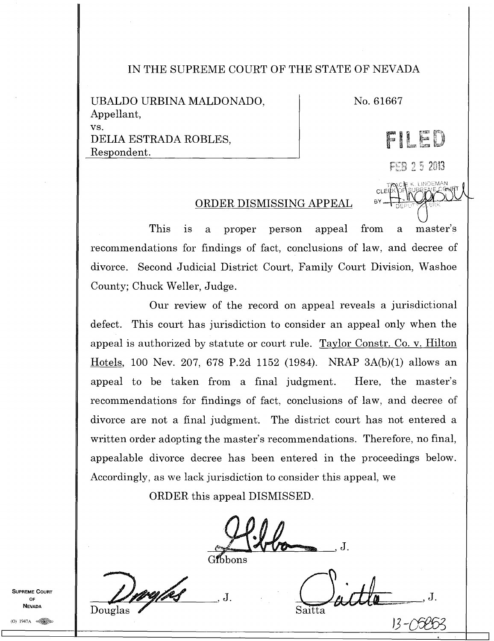## IN THE SUPREME COURT OF THE STATE OF NEVADA

UBALDO URBINA MALDONADO,  $N_{0.61667}$ Appellant, vs. DELIA ESTRADA ROBLES, Respondent.

CLE BY.

TrANCNE K. LINDEMAN

FEB 25 2013

FI

st

DE

## ORDER DISMISSING APPEAL

This is a proper person appeal from a master's recommendations for findings of fact, conclusions of law, and decree of divorce. Second Judicial District Court, Family Court Division, Washoe County; Chuck Weller, Judge.

Our review of the record on appeal reveals a jurisdictional defect. This court has jurisdiction to consider an appeal only when the appeal is authorized by statute or court rule. Taylor Constr. Co. v. Hilton Hotels,100 Nev. 207, 678 P.2d 1152 (1984). NRAP 3A(b)(1) allows an appeal to be taken from a final judgment. Here, the master's recommendations for findings of fact, conclusions of law, and decree of divorce are not a final judgment. The district court has not entered a written order adopting the master's recommendations. Therefore, no final, appealable divorce decree has been entered in the proceedings below. Accordingly, as we lack jurisdiction to consider this appeal, we

ORDER this appeal DISMISSED.

J.

Gibbons

 $ell =$ Saitta

-<u>0</u>5853

**SUPREME COURT** OF **NEVADA** 

II

Douglas